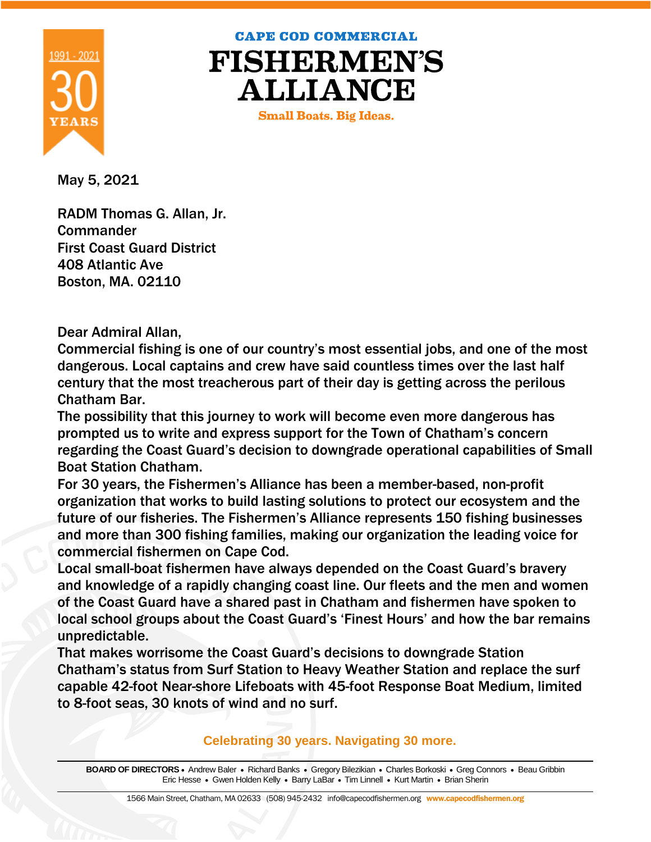

**CAPE COD COMMERCIAL** 

**FISHERMEN'S ALLIANCE** 

**Small Boats. Big Ideas.** 

May 5, 2021

RADM Thomas G. Allan, Jr. **Commander** First Coast Guard District 408 Atlantic Ave Boston, MA. 02110

Dear Admiral Allan,

Commercial fishing is one of our country's most essential jobs, and one of the most dangerous. Local captains and crew have said countless times over the last half century that the most treacherous part of their day is getting across the perilous Chatham Bar.

The possibility that this journey to work will become even more dangerous has prompted us to write and express support for the Town of Chatham's concern regarding the Coast Guard's decision to downgrade operational capabilities of Small Boat Station Chatham.

For 30 years, the Fishermen's Alliance has been a member-based, non-profit organization that works to build lasting solutions to protect our ecosystem and the future of our fisheries. The Fishermen's Alliance represents 150 fishing businesses and more than 300 fishing families, making our organization the leading voice for commercial fishermen on Cape Cod.

Local small-boat fishermen have always depended on the Coast Guard's bravery and knowledge of a rapidly changing coast line. Our fleets and the men and women of the Coast Guard have a shared past in Chatham and fishermen have spoken to local school groups about the Coast Guard's 'Finest Hours' and how the bar remains unpredictable.

That makes worrisome the Coast Guard's decisions to downgrade Station Chatham's status from Surf Station to Heavy Weather Station and replace the surf capable 42-foot Near-shore Lifeboats with 45-foot Response Boat Medium, limited to 8-foot seas, 30 knots of wind and no surf.

**Celebrating 30 years. Navigating 30 more.** 

BOARD OF DIRECTORS · Andrew Baler · Richard Banks · Gregory Bilezikian · Charles Borkoski · Greg Connors · Beau Gribbin Eric Hesse • Gwen Holden Kelly • Barry LaBar • Tim Linnell • Kurt Martin • Brian Sherin